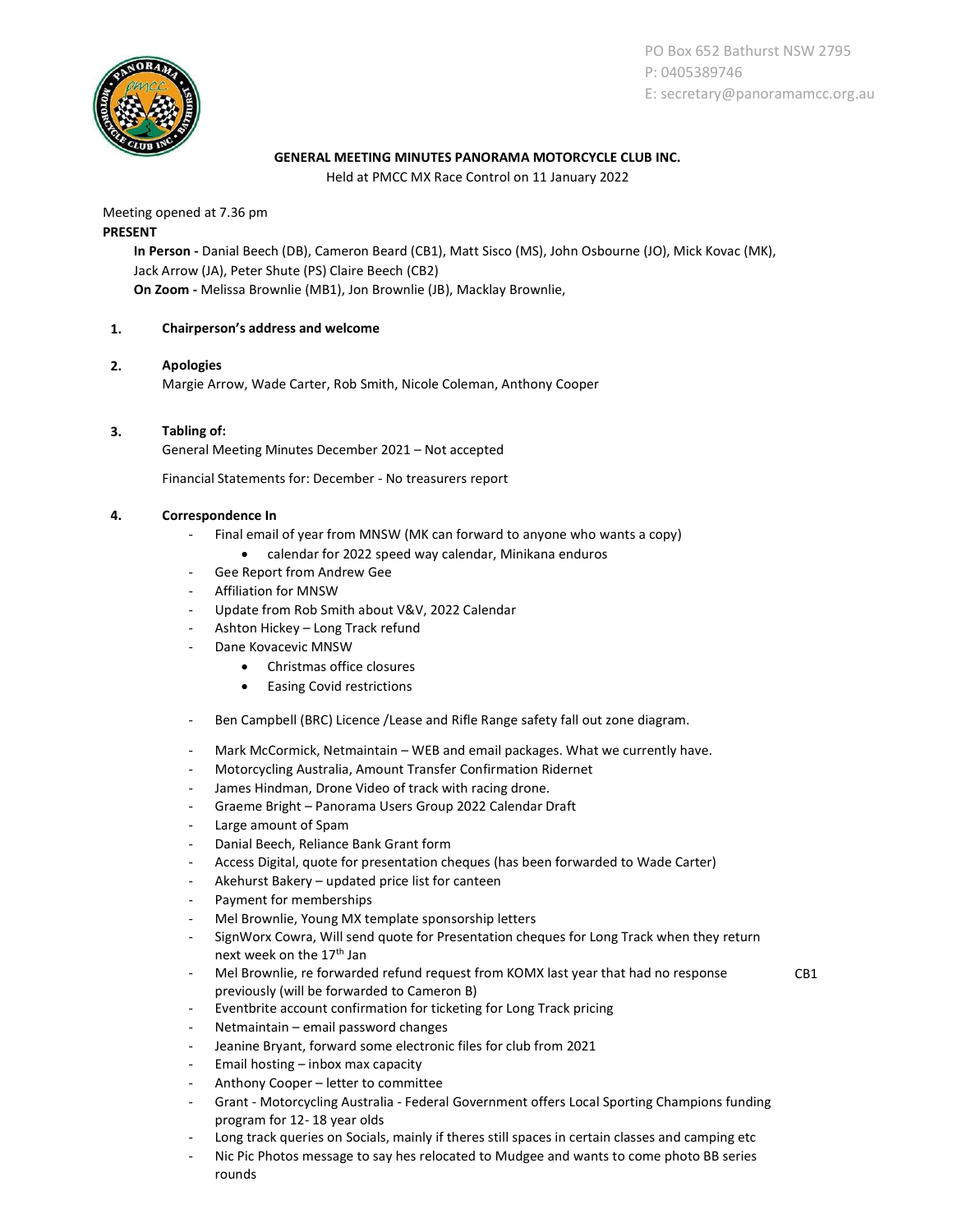

PO Box 652 Bathurst NSW 2795 P: 0405389746 E: secretary@panoramamcc.org.au

## GENERAL MEETING MINUTES PANORAMA MOTORCYCLE CLUB INC.

Held at PMCC MX Race Control on 11 January 2022

Meeting opened at 7.36 pm PRESENT

> In Person - Danial Beech (DB), Cameron Beard (CB1), Matt Sisco (MS), John Osbourne (JO), Mick Kovac (MK), Jack Arrow (JA), Peter Shute (PS) Claire Beech (CB2) On Zoom - Melissa Brownlie (MB1), Jon Brownlie (JB), Macklay Brownlie,

## 1. Chairperson's address and welcome

## 2. Apologies

Margie Arrow, Wade Carter, Rob Smith, Nicole Coleman, Anthony Cooper

## 3. Tabling of:

General Meeting Minutes December 2021 – Not accepted

Financial Statements for: December - No treasurers report

## 4. Correspondence In

- Final email of year from MNSW (MK can forward to anyone who wants a copy)
	- calendar for 2022 speed way calendar, Minikana enduros
- Gee Report from Andrew Gee
- Affiliation for MNSW
- Update from Rob Smith about V&V, 2022 Calendar
- Ashton Hickey Long Track refund
- Dane Kovacevic MNSW
	- Christmas office closures
	- Easing Covid restrictions
- Ben Campbell (BRC) Licence /Lease and Rifle Range safety fall out zone diagram.
- Mark McCormick, Netmaintain WEB and email packages. What we currently have.
- Motorcycling Australia, Amount Transfer Confirmation Ridernet
- James Hindman, Drone Video of track with racing drone.
- Graeme Bright Panorama Users Group 2022 Calendar Draft
- Large amount of Spam
- Danial Beech, Reliance Bank Grant form
- Access Digital, quote for presentation cheques (has been forwarded to Wade Carter)
- Akehurst Bakery updated price list for canteen
- Payment for memberships
- Mel Brownlie, Young MX template sponsorship letters
- SignWorx Cowra, Will send quote for Presentation cheques for Long Track when they return next week on the 17<sup>th</sup> Jan
- Mel Brownlie, re forwarded refund request from KOMX last year that had no response previously (will be forwarded to Cameron B)
- CB1

- Eventbrite account confirmation for ticketing for Long Track pricing
- Netmaintain email password changes
- Jeanine Bryant, forward some electronic files for club from 2021
- Email hosting inbox max capacity
- Anthony Cooper letter to committee
- Grant Motorcycling Australia Federal Government offers Local Sporting Champions funding program for 12- 18 year olds
- Long track queries on Socials, mainly if theres still spaces in certain classes and camping etc
- Nic Pic Photos message to say hes relocated to Mudgee and wants to come photo BB series rounds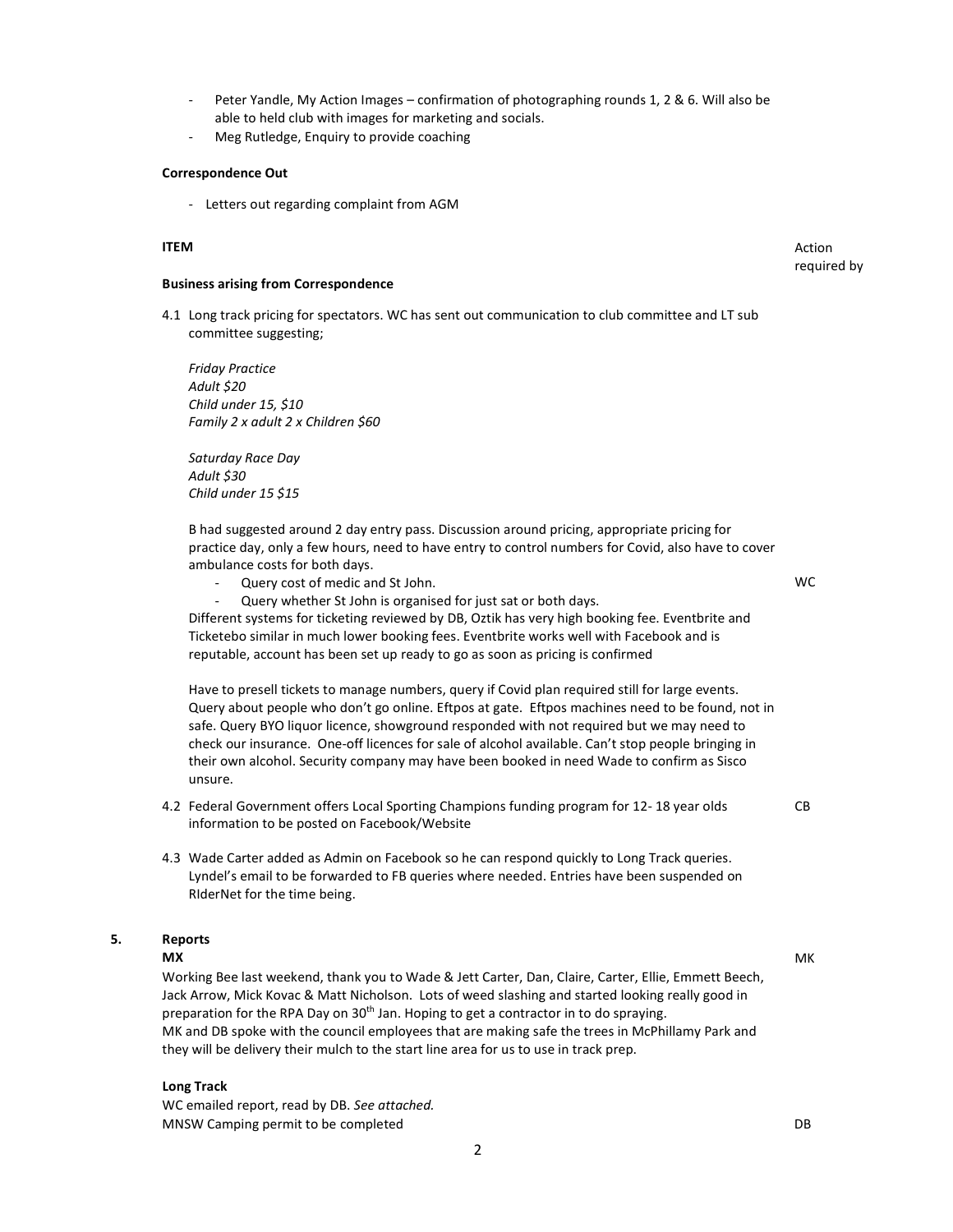- Peter Yandle, My Action Images confirmation of photographing rounds 1, 2 & 6. Will also be able to held club with images for marketing and socials.
- Meg Rutledge, Enquiry to provide coaching

#### Correspondence Out

- Letters out regarding complaint from AGM

#### **ITEM** Action

#### Business arising from Correspondence

4.1 Long track pricing for spectators. WC has sent out communication to club committee and LT sub committee suggesting;

Friday Practice Adult \$20 Child under 15, \$10 Family 2 x adult 2 x Children \$60

Saturday Race Day Adult \$30 Child under 15 \$15

B had suggested around 2 day entry pass. Discussion around pricing, appropriate pricing for practice day, only a few hours, need to have entry to control numbers for Covid, also have to cover ambulance costs for both days.

- Query cost of medic and St John.
- Query whether St John is organised for just sat or both days.

Different systems for ticketing reviewed by DB, Oztik has very high booking fee. Eventbrite and Ticketebo similar in much lower booking fees. Eventbrite works well with Facebook and is reputable, account has been set up ready to go as soon as pricing is confirmed

Have to presell tickets to manage numbers, query if Covid plan required still for large events. Query about people who don't go online. Eftpos at gate. Eftpos machines need to be found, not in safe. Query BYO liquor licence, showground responded with not required but we may need to check our insurance. One-off licences for sale of alcohol available. Can't stop people bringing in their own alcohol. Security company may have been booked in need Wade to confirm as Sisco unsure.

- 4.2 Federal Government offers Local Sporting Champions funding program for 12- 18 year olds information to be posted on Facebook/Website
- 4.3 Wade Carter added as Admin on Facebook so he can respond quickly to Long Track queries. Lyndel's email to be forwarded to FB queries where needed. Entries have been suspended on RIderNet for the time being.

# 5. Reports

## MX MK

Working Bee last weekend, thank you to Wade & Jett Carter, Dan, Claire, Carter, Ellie, Emmett Beech, Jack Arrow, Mick Kovac & Matt Nicholson. Lots of weed slashing and started looking really good in preparation for the RPA Day on 30<sup>th</sup> Jan. Hoping to get a contractor in to do spraying. MK and DB spoke with the council employees that are making safe the trees in McPhillamy Park and they will be delivery their mulch to the start line area for us to use in track prep.

#### Long Track

WC emailed report, read by DB. See attached. MNSW Camping permit to be completed **DB** 

required by

CB

WC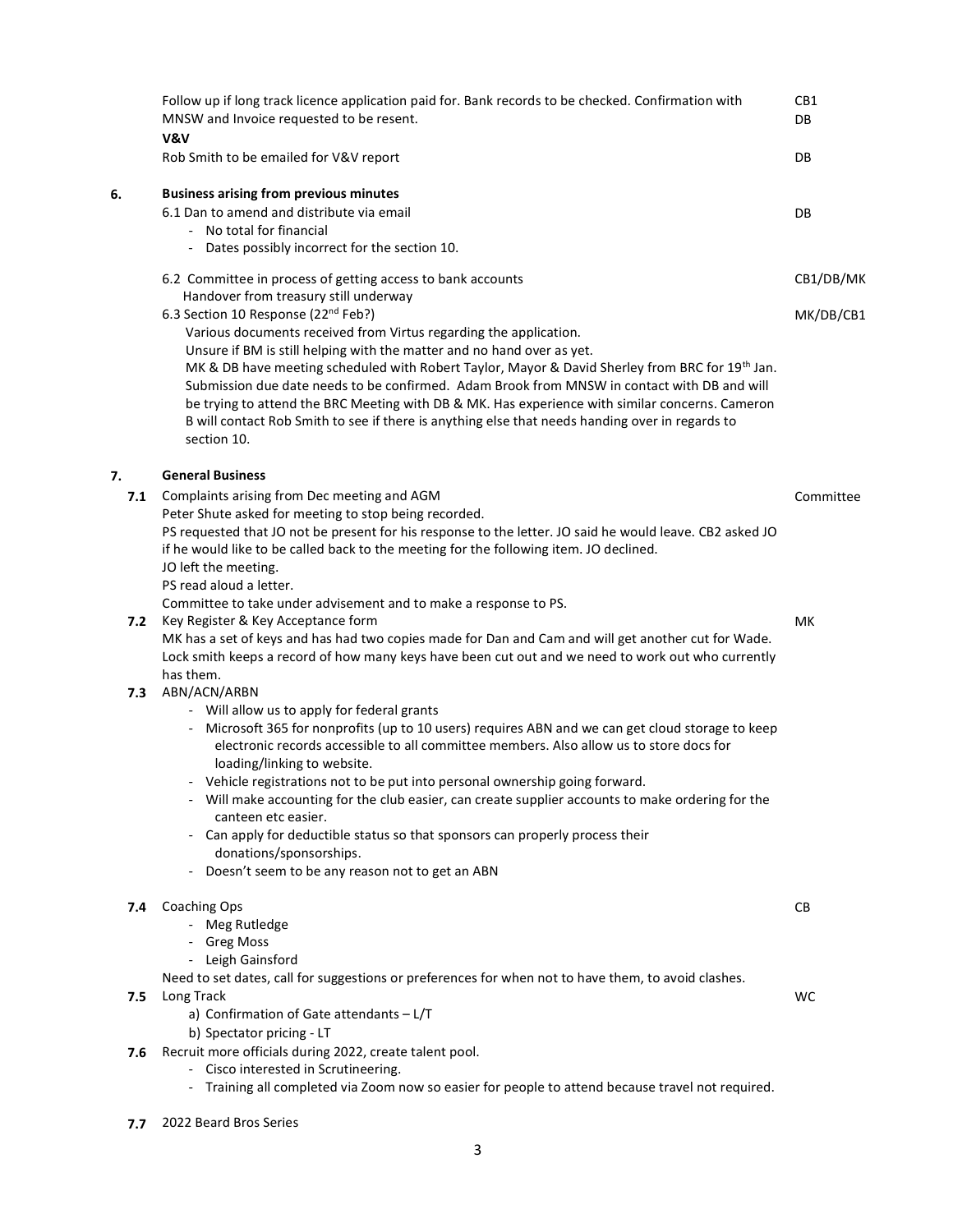|     | Follow up if long track licence application paid for. Bank records to be checked. Confirmation with<br>MNSW and Invoice requested to be resent.<br>V&V                                                                                                                                                                                                                                                                                                                                                                                                                                                                            | CB1<br>DB |
|-----|-----------------------------------------------------------------------------------------------------------------------------------------------------------------------------------------------------------------------------------------------------------------------------------------------------------------------------------------------------------------------------------------------------------------------------------------------------------------------------------------------------------------------------------------------------------------------------------------------------------------------------------|-----------|
|     | Rob Smith to be emailed for V&V report                                                                                                                                                                                                                                                                                                                                                                                                                                                                                                                                                                                            | DB        |
| 6.  | <b>Business arising from previous minutes</b><br>6.1 Dan to amend and distribute via email<br>- No total for financial<br>Dates possibly incorrect for the section 10.                                                                                                                                                                                                                                                                                                                                                                                                                                                            | DB        |
|     | 6.2 Committee in process of getting access to bank accounts<br>Handover from treasury still underway                                                                                                                                                                                                                                                                                                                                                                                                                                                                                                                              | CB1/DB/MK |
|     | 6.3 Section 10 Response (22 <sup>nd</sup> Feb?)<br>Various documents received from Virtus regarding the application.<br>Unsure if BM is still helping with the matter and no hand over as yet.<br>MK & DB have meeting scheduled with Robert Taylor, Mayor & David Sherley from BRC for 19 <sup>th</sup> Jan.<br>Submission due date needs to be confirmed. Adam Brook from MNSW in contact with DB and will<br>be trying to attend the BRC Meeting with DB & MK. Has experience with similar concerns. Cameron<br>B will contact Rob Smith to see if there is anything else that needs handing over in regards to<br>section 10. | MK/DB/CB1 |
| 7.  | <b>General Business</b>                                                                                                                                                                                                                                                                                                                                                                                                                                                                                                                                                                                                           |           |
| 7.1 | Complaints arising from Dec meeting and AGM<br>Peter Shute asked for meeting to stop being recorded.<br>PS requested that JO not be present for his response to the letter. JO said he would leave. CB2 asked JO<br>if he would like to be called back to the meeting for the following item. JO declined.<br>JO left the meeting.<br>PS read aloud a letter.                                                                                                                                                                                                                                                                     | Committee |
| 7.2 | Committee to take under advisement and to make a response to PS.<br>Key Register & Key Acceptance form<br>MK has a set of keys and has had two copies made for Dan and Cam and will get another cut for Wade.<br>Lock smith keeps a record of how many keys have been cut out and we need to work out who currently                                                                                                                                                                                                                                                                                                               | MK        |
| 7.3 | has them.<br>ABN/ACN/ARBN<br>- Will allow us to apply for federal grants                                                                                                                                                                                                                                                                                                                                                                                                                                                                                                                                                          |           |
|     | Microsoft 365 for nonprofits (up to 10 users) requires ABN and we can get cloud storage to keep<br>$\overline{\phantom{a}}$<br>electronic records accessible to all committee members. Also allow us to store docs for<br>loading/linking to website.<br>- Vehicle registrations not to be put into personal ownership going forward.<br>- Will make accounting for the club easier, can create supplier accounts to make ordering for the<br>canteen etc easier.                                                                                                                                                                 |           |
|     | Can apply for deductible status so that sponsors can properly process their<br>donations/sponsorships.<br>- Doesn't seem to be any reason not to get an ABN                                                                                                                                                                                                                                                                                                                                                                                                                                                                       |           |
| 7.4 | <b>Coaching Ops</b><br>- Meg Rutledge<br>- Greg Moss<br>- Leigh Gainsford                                                                                                                                                                                                                                                                                                                                                                                                                                                                                                                                                         | CВ        |
| 7.5 | Need to set dates, call for suggestions or preferences for when not to have them, to avoid clashes.<br>Long Track<br>a) Confirmation of Gate attendants - L/T<br>b) Spectator pricing - LT                                                                                                                                                                                                                                                                                                                                                                                                                                        | <b>WC</b> |
| 7.6 | Recruit more officials during 2022, create talent pool.<br>- Cisco interested in Scrutineering.<br>Training all completed via Zoom now so easier for people to attend because travel not required.                                                                                                                                                                                                                                                                                                                                                                                                                                |           |

7.7 2022 Beard Bros Series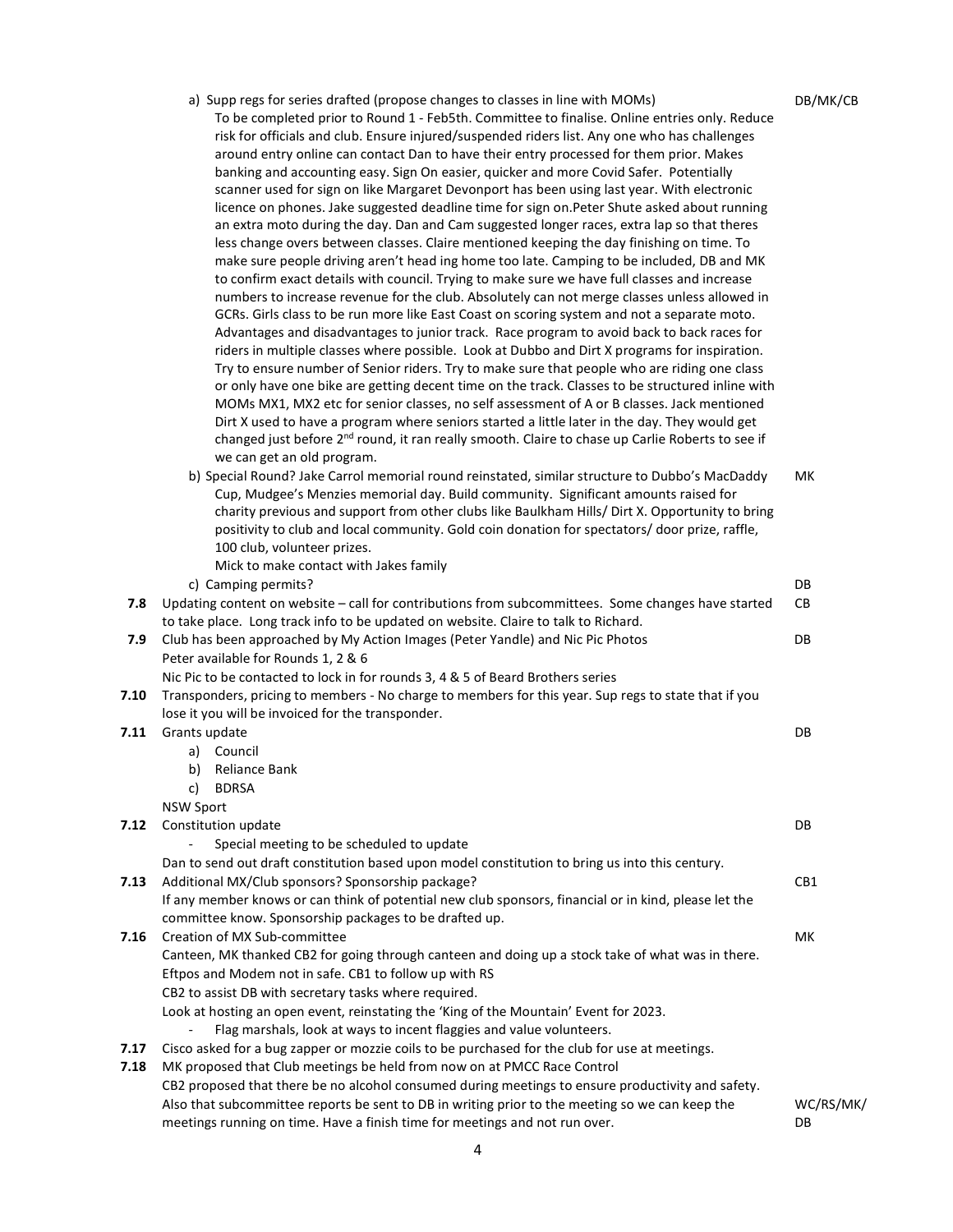|      | a) Supp regs for series drafted (propose changes to classes in line with MOMs)<br>To be completed prior to Round 1 - Feb5th. Committee to finalise. Online entries only. Reduce<br>risk for officials and club. Ensure injured/suspended riders list. Any one who has challenges<br>around entry online can contact Dan to have their entry processed for them prior. Makes<br>banking and accounting easy. Sign On easier, quicker and more Covid Safer. Potentially<br>scanner used for sign on like Margaret Devonport has been using last year. With electronic<br>licence on phones. Jake suggested deadline time for sign on. Peter Shute asked about running<br>an extra moto during the day. Dan and Cam suggested longer races, extra lap so that theres<br>less change overs between classes. Claire mentioned keeping the day finishing on time. To<br>make sure people driving aren't head ing home too late. Camping to be included, DB and MK<br>to confirm exact details with council. Trying to make sure we have full classes and increase<br>numbers to increase revenue for the club. Absolutely can not merge classes unless allowed in<br>GCRs. Girls class to be run more like East Coast on scoring system and not a separate moto.<br>Advantages and disadvantages to junior track. Race program to avoid back to back races for<br>riders in multiple classes where possible. Look at Dubbo and Dirt X programs for inspiration.<br>Try to ensure number of Senior riders. Try to make sure that people who are riding one class<br>or only have one bike are getting decent time on the track. Classes to be structured inline with<br>MOMs MX1, MX2 etc for senior classes, no self assessment of A or B classes. Jack mentioned<br>Dirt X used to have a program where seniors started a little later in the day. They would get<br>changed just before 2 <sup>nd</sup> round, it ran really smooth. Claire to chase up Carlie Roberts to see if<br>we can get an old program. | DB/MK/CB  |  |  |  |
|------|------------------------------------------------------------------------------------------------------------------------------------------------------------------------------------------------------------------------------------------------------------------------------------------------------------------------------------------------------------------------------------------------------------------------------------------------------------------------------------------------------------------------------------------------------------------------------------------------------------------------------------------------------------------------------------------------------------------------------------------------------------------------------------------------------------------------------------------------------------------------------------------------------------------------------------------------------------------------------------------------------------------------------------------------------------------------------------------------------------------------------------------------------------------------------------------------------------------------------------------------------------------------------------------------------------------------------------------------------------------------------------------------------------------------------------------------------------------------------------------------------------------------------------------------------------------------------------------------------------------------------------------------------------------------------------------------------------------------------------------------------------------------------------------------------------------------------------------------------------------------------------------------------------------------------------------------------------------------------------------------------------|-----------|--|--|--|
|      | b) Special Round? Jake Carrol memorial round reinstated, similar structure to Dubbo's MacDaddy<br>Cup, Mudgee's Menzies memorial day. Build community. Significant amounts raised for<br>charity previous and support from other clubs like Baulkham Hills/ Dirt X. Opportunity to bring<br>positivity to club and local community. Gold coin donation for spectators/ door prize, raffle,<br>100 club, volunteer prizes.                                                                                                                                                                                                                                                                                                                                                                                                                                                                                                                                                                                                                                                                                                                                                                                                                                                                                                                                                                                                                                                                                                                                                                                                                                                                                                                                                                                                                                                                                                                                                                                  | МK        |  |  |  |
|      | Mick to make contact with Jakes family                                                                                                                                                                                                                                                                                                                                                                                                                                                                                                                                                                                                                                                                                                                                                                                                                                                                                                                                                                                                                                                                                                                                                                                                                                                                                                                                                                                                                                                                                                                                                                                                                                                                                                                                                                                                                                                                                                                                                                     |           |  |  |  |
|      | c) Camping permits?                                                                                                                                                                                                                                                                                                                                                                                                                                                                                                                                                                                                                                                                                                                                                                                                                                                                                                                                                                                                                                                                                                                                                                                                                                                                                                                                                                                                                                                                                                                                                                                                                                                                                                                                                                                                                                                                                                                                                                                        | DB        |  |  |  |
| 7.8  | Updating content on website - call for contributions from subcommittees. Some changes have started                                                                                                                                                                                                                                                                                                                                                                                                                                                                                                                                                                                                                                                                                                                                                                                                                                                                                                                                                                                                                                                                                                                                                                                                                                                                                                                                                                                                                                                                                                                                                                                                                                                                                                                                                                                                                                                                                                         | CB        |  |  |  |
|      | to take place. Long track info to be updated on website. Claire to talk to Richard.                                                                                                                                                                                                                                                                                                                                                                                                                                                                                                                                                                                                                                                                                                                                                                                                                                                                                                                                                                                                                                                                                                                                                                                                                                                                                                                                                                                                                                                                                                                                                                                                                                                                                                                                                                                                                                                                                                                        |           |  |  |  |
| 7.9  | Club has been approached by My Action Images (Peter Yandle) and Nic Pic Photos                                                                                                                                                                                                                                                                                                                                                                                                                                                                                                                                                                                                                                                                                                                                                                                                                                                                                                                                                                                                                                                                                                                                                                                                                                                                                                                                                                                                                                                                                                                                                                                                                                                                                                                                                                                                                                                                                                                             | DB        |  |  |  |
|      | Peter available for Rounds 1, 2 & 6                                                                                                                                                                                                                                                                                                                                                                                                                                                                                                                                                                                                                                                                                                                                                                                                                                                                                                                                                                                                                                                                                                                                                                                                                                                                                                                                                                                                                                                                                                                                                                                                                                                                                                                                                                                                                                                                                                                                                                        |           |  |  |  |
|      | Nic Pic to be contacted to lock in for rounds 3, 4 & 5 of Beard Brothers series                                                                                                                                                                                                                                                                                                                                                                                                                                                                                                                                                                                                                                                                                                                                                                                                                                                                                                                                                                                                                                                                                                                                                                                                                                                                                                                                                                                                                                                                                                                                                                                                                                                                                                                                                                                                                                                                                                                            |           |  |  |  |
| 7.10 | Transponders, pricing to members - No charge to members for this year. Sup regs to state that if you                                                                                                                                                                                                                                                                                                                                                                                                                                                                                                                                                                                                                                                                                                                                                                                                                                                                                                                                                                                                                                                                                                                                                                                                                                                                                                                                                                                                                                                                                                                                                                                                                                                                                                                                                                                                                                                                                                       |           |  |  |  |
|      | lose it you will be invoiced for the transponder.                                                                                                                                                                                                                                                                                                                                                                                                                                                                                                                                                                                                                                                                                                                                                                                                                                                                                                                                                                                                                                                                                                                                                                                                                                                                                                                                                                                                                                                                                                                                                                                                                                                                                                                                                                                                                                                                                                                                                          |           |  |  |  |
| 7.11 | Grants update                                                                                                                                                                                                                                                                                                                                                                                                                                                                                                                                                                                                                                                                                                                                                                                                                                                                                                                                                                                                                                                                                                                                                                                                                                                                                                                                                                                                                                                                                                                                                                                                                                                                                                                                                                                                                                                                                                                                                                                              | DB        |  |  |  |
|      |                                                                                                                                                                                                                                                                                                                                                                                                                                                                                                                                                                                                                                                                                                                                                                                                                                                                                                                                                                                                                                                                                                                                                                                                                                                                                                                                                                                                                                                                                                                                                                                                                                                                                                                                                                                                                                                                                                                                                                                                            |           |  |  |  |
|      | a) Council                                                                                                                                                                                                                                                                                                                                                                                                                                                                                                                                                                                                                                                                                                                                                                                                                                                                                                                                                                                                                                                                                                                                                                                                                                                                                                                                                                                                                                                                                                                                                                                                                                                                                                                                                                                                                                                                                                                                                                                                 |           |  |  |  |
|      | b)<br>Reliance Bank                                                                                                                                                                                                                                                                                                                                                                                                                                                                                                                                                                                                                                                                                                                                                                                                                                                                                                                                                                                                                                                                                                                                                                                                                                                                                                                                                                                                                                                                                                                                                                                                                                                                                                                                                                                                                                                                                                                                                                                        |           |  |  |  |
|      | <b>BDRSA</b><br>C)                                                                                                                                                                                                                                                                                                                                                                                                                                                                                                                                                                                                                                                                                                                                                                                                                                                                                                                                                                                                                                                                                                                                                                                                                                                                                                                                                                                                                                                                                                                                                                                                                                                                                                                                                                                                                                                                                                                                                                                         |           |  |  |  |
|      | <b>NSW Sport</b>                                                                                                                                                                                                                                                                                                                                                                                                                                                                                                                                                                                                                                                                                                                                                                                                                                                                                                                                                                                                                                                                                                                                                                                                                                                                                                                                                                                                                                                                                                                                                                                                                                                                                                                                                                                                                                                                                                                                                                                           |           |  |  |  |
| 7.12 | Constitution update                                                                                                                                                                                                                                                                                                                                                                                                                                                                                                                                                                                                                                                                                                                                                                                                                                                                                                                                                                                                                                                                                                                                                                                                                                                                                                                                                                                                                                                                                                                                                                                                                                                                                                                                                                                                                                                                                                                                                                                        | DB        |  |  |  |
|      | Special meeting to be scheduled to update                                                                                                                                                                                                                                                                                                                                                                                                                                                                                                                                                                                                                                                                                                                                                                                                                                                                                                                                                                                                                                                                                                                                                                                                                                                                                                                                                                                                                                                                                                                                                                                                                                                                                                                                                                                                                                                                                                                                                                  |           |  |  |  |
|      | Dan to send out draft constitution based upon model constitution to bring us into this century.                                                                                                                                                                                                                                                                                                                                                                                                                                                                                                                                                                                                                                                                                                                                                                                                                                                                                                                                                                                                                                                                                                                                                                                                                                                                                                                                                                                                                                                                                                                                                                                                                                                                                                                                                                                                                                                                                                            |           |  |  |  |
| 7.13 | Additional MX/Club sponsors? Sponsorship package?                                                                                                                                                                                                                                                                                                                                                                                                                                                                                                                                                                                                                                                                                                                                                                                                                                                                                                                                                                                                                                                                                                                                                                                                                                                                                                                                                                                                                                                                                                                                                                                                                                                                                                                                                                                                                                                                                                                                                          | CB1       |  |  |  |
|      |                                                                                                                                                                                                                                                                                                                                                                                                                                                                                                                                                                                                                                                                                                                                                                                                                                                                                                                                                                                                                                                                                                                                                                                                                                                                                                                                                                                                                                                                                                                                                                                                                                                                                                                                                                                                                                                                                                                                                                                                            |           |  |  |  |
|      | If any member knows or can think of potential new club sponsors, financial or in kind, please let the                                                                                                                                                                                                                                                                                                                                                                                                                                                                                                                                                                                                                                                                                                                                                                                                                                                                                                                                                                                                                                                                                                                                                                                                                                                                                                                                                                                                                                                                                                                                                                                                                                                                                                                                                                                                                                                                                                      |           |  |  |  |
|      | committee know. Sponsorship packages to be drafted up.                                                                                                                                                                                                                                                                                                                                                                                                                                                                                                                                                                                                                                                                                                                                                                                                                                                                                                                                                                                                                                                                                                                                                                                                                                                                                                                                                                                                                                                                                                                                                                                                                                                                                                                                                                                                                                                                                                                                                     |           |  |  |  |
| 7.16 | Creation of MX Sub-committee                                                                                                                                                                                                                                                                                                                                                                                                                                                                                                                                                                                                                                                                                                                                                                                                                                                                                                                                                                                                                                                                                                                                                                                                                                                                                                                                                                                                                                                                                                                                                                                                                                                                                                                                                                                                                                                                                                                                                                               | MK        |  |  |  |
|      | Canteen, MK thanked CB2 for going through canteen and doing up a stock take of what was in there.                                                                                                                                                                                                                                                                                                                                                                                                                                                                                                                                                                                                                                                                                                                                                                                                                                                                                                                                                                                                                                                                                                                                                                                                                                                                                                                                                                                                                                                                                                                                                                                                                                                                                                                                                                                                                                                                                                          |           |  |  |  |
|      | Eftpos and Modem not in safe. CB1 to follow up with RS                                                                                                                                                                                                                                                                                                                                                                                                                                                                                                                                                                                                                                                                                                                                                                                                                                                                                                                                                                                                                                                                                                                                                                                                                                                                                                                                                                                                                                                                                                                                                                                                                                                                                                                                                                                                                                                                                                                                                     |           |  |  |  |
|      | CB2 to assist DB with secretary tasks where required.                                                                                                                                                                                                                                                                                                                                                                                                                                                                                                                                                                                                                                                                                                                                                                                                                                                                                                                                                                                                                                                                                                                                                                                                                                                                                                                                                                                                                                                                                                                                                                                                                                                                                                                                                                                                                                                                                                                                                      |           |  |  |  |
|      | Look at hosting an open event, reinstating the 'King of the Mountain' Event for 2023.                                                                                                                                                                                                                                                                                                                                                                                                                                                                                                                                                                                                                                                                                                                                                                                                                                                                                                                                                                                                                                                                                                                                                                                                                                                                                                                                                                                                                                                                                                                                                                                                                                                                                                                                                                                                                                                                                                                      |           |  |  |  |
|      |                                                                                                                                                                                                                                                                                                                                                                                                                                                                                                                                                                                                                                                                                                                                                                                                                                                                                                                                                                                                                                                                                                                                                                                                                                                                                                                                                                                                                                                                                                                                                                                                                                                                                                                                                                                                                                                                                                                                                                                                            |           |  |  |  |
|      | Flag marshals, look at ways to incent flaggies and value volunteers.                                                                                                                                                                                                                                                                                                                                                                                                                                                                                                                                                                                                                                                                                                                                                                                                                                                                                                                                                                                                                                                                                                                                                                                                                                                                                                                                                                                                                                                                                                                                                                                                                                                                                                                                                                                                                                                                                                                                       |           |  |  |  |
| 7.17 | Cisco asked for a bug zapper or mozzie coils to be purchased for the club for use at meetings.                                                                                                                                                                                                                                                                                                                                                                                                                                                                                                                                                                                                                                                                                                                                                                                                                                                                                                                                                                                                                                                                                                                                                                                                                                                                                                                                                                                                                                                                                                                                                                                                                                                                                                                                                                                                                                                                                                             |           |  |  |  |
| 7.18 | MK proposed that Club meetings be held from now on at PMCC Race Control                                                                                                                                                                                                                                                                                                                                                                                                                                                                                                                                                                                                                                                                                                                                                                                                                                                                                                                                                                                                                                                                                                                                                                                                                                                                                                                                                                                                                                                                                                                                                                                                                                                                                                                                                                                                                                                                                                                                    |           |  |  |  |
|      | CB2 proposed that there be no alcohol consumed during meetings to ensure productivity and safety.                                                                                                                                                                                                                                                                                                                                                                                                                                                                                                                                                                                                                                                                                                                                                                                                                                                                                                                                                                                                                                                                                                                                                                                                                                                                                                                                                                                                                                                                                                                                                                                                                                                                                                                                                                                                                                                                                                          |           |  |  |  |
|      | Also that subcommittee reports be sent to DB in writing prior to the meeting so we can keep the                                                                                                                                                                                                                                                                                                                                                                                                                                                                                                                                                                                                                                                                                                                                                                                                                                                                                                                                                                                                                                                                                                                                                                                                                                                                                                                                                                                                                                                                                                                                                                                                                                                                                                                                                                                                                                                                                                            | WC/RS/MK/ |  |  |  |
|      | meetings running on time. Have a finish time for meetings and not run over.                                                                                                                                                                                                                                                                                                                                                                                                                                                                                                                                                                                                                                                                                                                                                                                                                                                                                                                                                                                                                                                                                                                                                                                                                                                                                                                                                                                                                                                                                                                                                                                                                                                                                                                                                                                                                                                                                                                                | DB        |  |  |  |
|      |                                                                                                                                                                                                                                                                                                                                                                                                                                                                                                                                                                                                                                                                                                                                                                                                                                                                                                                                                                                                                                                                                                                                                                                                                                                                                                                                                                                                                                                                                                                                                                                                                                                                                                                                                                                                                                                                                                                                                                                                            |           |  |  |  |